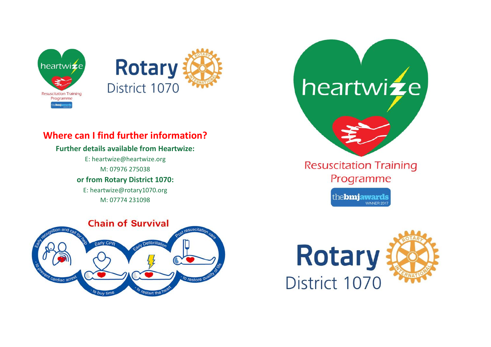



# **Where can I find further information?**

## **Further details available from Heartwize:**

E: heartwize@heartwize.org M: 07976 275038

**or from Rotary District 1070:**

E: heartwize@rotary1070.org M: 07774 231098



Programme

the**bmjawards** WINNER 201